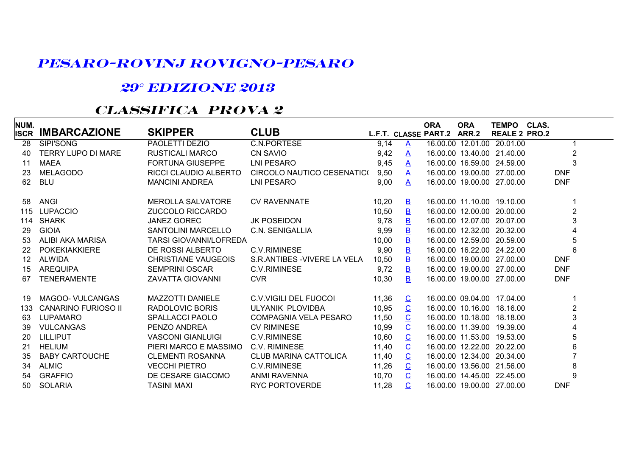## **PESARO-ROVINJ ROVIGNO-PESARO**

## **29° EDIZIONE 2013**

## **CLASSIFICA PROVA 2**

| NUM.        |                            |                            |                              |       |                          | <b>ORA</b>                 | <b>ORA</b> | <b>TEMPO</b>               | CLAS.            |  |
|-------------|----------------------------|----------------------------|------------------------------|-------|--------------------------|----------------------------|------------|----------------------------|------------------|--|
| <b>ISCR</b> | <b>IMBARCAZIONE</b>        | <b>SKIPPER</b>             | <b>CLUB</b>                  |       |                          | L.F.T. CLASSE PART.2 ARR.2 |            | <b>REALE 2 PRO.2</b>       |                  |  |
| 28          | <b>SIPI'SONG</b>           | PAOLETTI DEZIO             | <b>C.N.PORTESE</b>           | 9,14  | $\triangle$              |                            |            | 16.00.00 12.01.00 20.01.00 |                  |  |
| 40          | <b>TERRY LUPO DI MARE</b>  | <b>RUSTICALI MARCO</b>     | <b>CN SAVIO</b>              | 9,42  | $\mathbf{A}$             |                            |            | 16.00.00 13.40.00 21.40.00 | $\overline{2}$   |  |
| 11          | <b>MAEA</b>                | <b>FORTUNA GIUSEPPE</b>    | LNI PESARO                   | 9,45  | A                        |                            |            | 16.00.00 16.59.00 24.59.00 | 3                |  |
| 23          | <b>MELAGODO</b>            | RICCI CLAUDIO ALBERTO      | CIRCOLO NAUTICO CESENATICO   | 9,50  | A                        |                            |            | 16.00.00 19.00.00 27.00.00 | <b>DNF</b>       |  |
| 62          | <b>BLU</b>                 | <b>MANCINI ANDREA</b>      | LNI PESARO                   | 9,00  | A                        |                            |            | 16.00.00 19.00.00 27.00.00 | <b>DNF</b>       |  |
| 58          | <b>ANGI</b>                | <b>MEROLLA SALVATORE</b>   | <b>CV RAVENNATE</b>          | 10,20 | $\mathbf{B}$             |                            |            | 16.00.00 11.10.00 19.10.00 |                  |  |
| 115         | <b>LUPACCIO</b>            | ZUCCOLO RICCARDO           |                              | 10,50 | $\mathbf{B}$             |                            |            | 16.00.00 12.00.00 20.00.00 | $\boldsymbol{2}$ |  |
| 114         | <b>SHARK</b>               | <b>JANEZ GOREC</b>         | <b>JK POSEIDON</b>           | 9,78  | $\mathbf{B}$             |                            |            | 16.00.00 12.07.00 20.07.00 | 3                |  |
| 29          | <b>GIOIA</b>               | <b>SANTOLINI MARCELLO</b>  | C.N. SENIGALLIA              | 9,99  | $\mathbf{B}$             |                            |            | 16.00.00 12.32.00 20.32.00 | 4                |  |
| 53          | ALIBI AKA MARISA           | TARSI GIOVANNI/LOFREDA     |                              | 10,00 | B                        |                            |            | 16.00.00 12.59.00 20.59.00 | 5                |  |
| 22          | <b>POKEKIAKKIERE</b>       | DE ROSSI ALBERTO           | <b>C.V.RIMINESE</b>          | 9,90  | $\overline{B}$           |                            |            | 16.00.00 16.22.00 24.22.00 | 6                |  |
| 12          | <b>ALWIDA</b>              | <b>CHRISTIANE VAUGEOIS</b> | S.R.ANTIBES - VIVERE LA VELA | 10,50 | $\mathbf{B}$             |                            |            | 16.00.00 19.00.00 27.00.00 | <b>DNF</b>       |  |
| 15          | <b>AREQUIPA</b>            | <b>SEMPRINI OSCAR</b>      | <b>C.V.RIMINESE</b>          | 9,72  | B                        |                            |            | 16.00.00 19.00.00 27.00.00 | <b>DNF</b>       |  |
| 67          | <b>TENERAMENTE</b>         | <b>ZAVATTA GIOVANNI</b>    | <b>CVR</b>                   | 10,30 | в                        |                            |            | 16.00.00 19.00.00 27.00.00 | <b>DNF</b>       |  |
| 19          | <b>MAGOO- VULCANGAS</b>    | <b>MAZZOTTI DANIELE</b>    | <b>C.V.VIGILI DEL FUOCOI</b> | 11,36 | $\overline{C}$           |                            |            | 16.00.00 09.04.00 17.04.00 |                  |  |
| 133         | <b>CANARINO FURIOSO II</b> | RADOLOVIC BORIS            | ULYANIK PLOVIDBA             | 10,95 | $\overline{C}$           |                            |            | 16.00.00 10.16.00 18.16.00 | $\mathbf 2$      |  |
| 63          | <b>LUPAMARO</b>            | <b>SPALLACCI PAOLO</b>     | <b>COMPAGNIA VELA PESARO</b> | 11,50 | $\overline{C}$           |                            |            | 16.00.00 10.18.00 18.18.00 | 3                |  |
| 39          | <b>VULCANGAS</b>           | PENZO ANDREA               | <b>CV RIMINESE</b>           | 10,99 | $\mathbf C$              |                            |            | 16.00.00 11.39.00 19.39.00 | 4                |  |
| 20          | <b>LILLIPUT</b>            | <b>VASCONI GIANLUIGI</b>   | <b>C.V.RIMINESE</b>          | 10,60 | $\overline{C}$           |                            |            | 16.00.00 11.53.00 19.53.00 | 5                |  |
| 21          | <b>HELIUM</b>              | PIERI MARCO E MASSIMO      | C.V. RIMINESE                | 11,40 | $\underline{\mathbf{C}}$ |                            |            | 16.00.00 12.22.00 20.22.00 | 6                |  |
| 35          | <b>BABY CARTOUCHE</b>      | <b>CLEMENTI ROSANNA</b>    | <b>CLUB MARINA CATTOLICA</b> | 11,40 | $\overline{C}$           |                            |            | 16.00.00 12.34.00 20.34.00 | $\overline{7}$   |  |
| 34          | <b>ALMIC</b>               | <b>VECCHI PIETRO</b>       | C.V.RIMINESE                 | 11,26 | $\overline{C}$           |                            |            | 16.00.00 13.56.00 21.56.00 | 8                |  |
| 54          | <b>GRAFFIO</b>             | DE CESARE GIACOMO          | ANMI RAVENNA                 | 10,70 | $\overline{C}$           |                            |            | 16.00.00 14.45.00 22.45.00 | 9                |  |
| 50          | <b>SOLARIA</b>             | <b>TASINI MAXI</b>         | <b>RYC PORTOVERDE</b>        | 11,28 | $\overline{C}$           |                            |            | 16.00.00 19.00.00 27.00.00 | <b>DNF</b>       |  |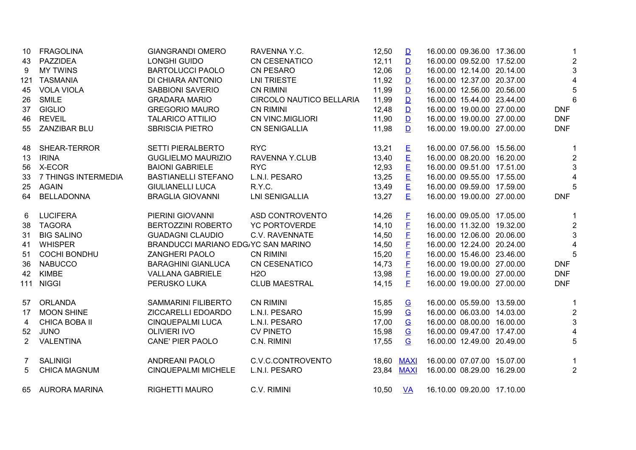| 10             | <b>FRAGOLINA</b>     | <b>GIANGRANDI OMERO</b>             | RAVENNA Y.C.             | 12,50 | $\mathbf{D}$             | 16.00.00 09.36.00 17.36.00 | -1              |
|----------------|----------------------|-------------------------------------|--------------------------|-------|--------------------------|----------------------------|-----------------|
| 43             | PAZZIDEA             | LONGHI GUIDO                        | <b>CN CESENATICO</b>     | 12,11 | $\mathbf{D}$             | 16.00.00 09.52.00 17.52.00 | $\overline{2}$  |
| 9              | <b>MY TWINS</b>      | <b>BARTOLUCCI PAOLO</b>             | <b>CN PESARO</b>         | 12,06 | $\mathbf{D}$             | 16.00.00 12.14.00 20.14.00 | 3               |
| 121            | <b>TASMANIA</b>      | DI CHIARA ANTONIO                   | <b>LNI TRIESTE</b>       | 11,92 | $\mathbf{D}$             | 16.00.00 12.37.00 20.37.00 | $\overline{4}$  |
| 45             | <b>VOLA VIOLA</b>    | <b>SABBIONI SAVERIO</b>             | <b>CN RIMINI</b>         | 11,99 | $\mathbf{D}$             | 16.00.00 12.56.00 20.56.00 | 5               |
| 26             | <b>SMILE</b>         | <b>GRADARA MARIO</b>                | CIRCOLO NAUTICO BELLARIA | 11,99 | $\mathbf{D}$             | 16.00.00 15.44.00 23.44.00 | $6\phantom{1}6$ |
| 37             | <b>GIGLIO</b>        | <b>GREGORIO MAURO</b>               | <b>CN RIMINI</b>         | 12,48 | $\mathbf{D}$             | 16.00.00 19.00.00 27.00.00 | <b>DNF</b>      |
| 46             | <b>REVEIL</b>        | <b>TALARICO ATTILIO</b>             | <b>CN VINC.MIGLIORI</b>  | 11,90 | $\mathbf{D}$             | 16.00.00 19.00.00 27.00.00 | <b>DNF</b>      |
| 55             | ZANZIBAR BLU         | <b>SBRISCIA PIETRO</b>              | <b>CN SENIGALLIA</b>     | 11,98 | $\mathbf{D}$             | 16.00.00 19.00.00 27.00.00 | <b>DNF</b>      |
| 48             | SHEAR-TERROR         | <b>SETTI PIERALBERTO</b>            | <b>RYC</b>               | 13,21 | E                        | 16.00.00 07.56.00 15.56.00 | 1               |
| 13             | <b>IRINA</b>         | <b>GUGLIELMO MAURIZIO</b>           | RAVENNA Y.CLUB           | 13,40 | E                        | 16.00.00 08.20.00 16.20.00 | $\overline{2}$  |
| 56             | X-ECOR               | <b>BAIONI GABRIELE</b>              | <b>RYC</b>               | 12,93 | E                        | 16.00.00 09.51.00 17.51.00 | 3               |
| 33             | 7 THINGS INTERMEDIA  | <b>BASTIANELLI STEFANO</b>          | L.N.I. PESARO            | 13,25 | E                        | 16.00.00 09.55.00 17.55.00 | $\overline{4}$  |
| 25             | <b>AGAIN</b>         | <b>GIULIANELLI LUCA</b>             | R.Y.C.                   | 13,49 | E                        | 16.00.00 09.59.00 17.59.00 | 5               |
| 64             | <b>BELLADONNA</b>    | <b>BRAGLIA GIOVANNI</b>             | <b>LNI SENIGALLIA</b>    | 13,27 | E                        | 16.00.00 19.00.00 27.00.00 | <b>DNF</b>      |
| 6              | <b>LUCIFERA</b>      | PIERINI GIOVANNI                    | ASD CONTROVENTO          | 14,26 | E                        | 16.00.00 09.05.00 17.05.00 | 1               |
| 38             | <b>TAGORA</b>        | <b>BERTOZZINI ROBERTO</b>           | <b>YC PORTOVERDE</b>     | 14,10 | E                        | 16.00.00 11.32.00 19.32.00 | $\overline{2}$  |
| 31             | <b>BIG SALINO</b>    | <b>GUADAGNI CLAUDIO</b>             | C.V. RAVENNATE           | 14,50 | E                        | 16.00.00 12.06.00 20.06.00 | $\sqrt{3}$      |
| 41             | <b>WHISPER</b>       | BRANDUCCI MARIANO EDG/YC SAN MARINO |                          | 14,50 | E                        | 16.00.00 12.24.00 20.24.00 | $\overline{4}$  |
| 51             | <b>COCHI BONDHU</b>  | <b>ZANGHERI PAOLO</b>               | <b>CN RIMINI</b>         | 15,20 | $\mathsf E$              | 16.00.00 15.46.00 23.46.00 | 5               |
| 36             | <b>NABUCCO</b>       | <b>BARAGHINI GIANLUCA</b>           | <b>CN CESENATICO</b>     | 14,73 | E                        | 16.00.00 19.00.00 27.00.00 | <b>DNF</b>      |
| 42             | <b>KIMBE</b>         | <b>VALLANA GABRIELE</b>             | <b>H2O</b>               | 13,98 | E                        | 16.00.00 19.00.00 27.00.00 | <b>DNF</b>      |
|                | 111 NIGGI            | PERUSKO LUKA                        | <b>CLUB MAESTRAL</b>     | 14,15 | E                        | 16.00.00 19.00.00 27.00.00 | <b>DNF</b>      |
| 57             | <b>ORLANDA</b>       | <b>SAMMARINI FILIBERTO</b>          | <b>CN RIMINI</b>         | 15,85 | $\overline{G}$           | 16.00.00 05.59.00 13.59.00 |                 |
| 17             | <b>MOON SHINE</b>    | ZICCARELLI EDOARDO                  | L.N.I. PESARO            | 15,99 | $\underline{\mathbf{G}}$ | 16.00.00 06.03.00 14.03.00 | $\overline{2}$  |
| 4              | <b>CHICA BOBA II</b> | <b>CINQUEPALMI LUCA</b>             | L.N.I. PESARO            | 17,00 | $\underline{\mathbf{G}}$ | 16.00.00 08.00.00 16.00.00 | 3               |
| 52             | <b>JUNO</b>          | <b>OLIVIERI IVO</b>                 | <b>CV PINETO</b>         | 15,98 | $\mathbf G$              | 16.00.00 09.47.00 17.47.00 | $\overline{4}$  |
| $\overline{2}$ | <b>VALENTINA</b>     | <b>CANE' PIER PAOLO</b>             | C.N. RIMINI              | 17,55 | $\mathbf G$              | 16.00.00 12.49.00 20.49.00 | 5               |
| $\overline{7}$ | <b>SALINIGI</b>      | ANDREANI PAOLO                      | C.V.C.CONTROVENTO        |       | 18,60 MAXI               | 16.00.00 07.07.00 15.07.00 | 1               |
| 5              | <b>CHICA MAGNUM</b>  | <b>CINQUEPALMI MICHELE</b>          | L.N.I. PESARO            |       | 23,84 MAXI               | 16.00.00 08.29.00 16.29.00 | $\overline{2}$  |
|                | 65 AURORA MARINA     | <b>RIGHETTI MAURO</b>               | C.V. RIMINI              | 10,50 | <b>VA</b>                | 16.10.00 09.20.00 17.10.00 |                 |